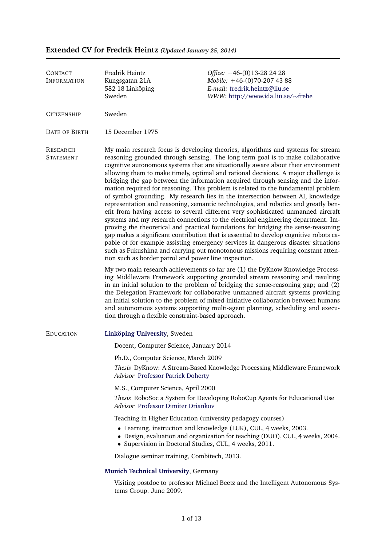# Fredrik Heintz *Office:* +46-(0)13-28 24 28 Kungsgatan 21A *Mobile:* +46-(0)70-207 43 88 582 18 Linkoping ¨ *E-mail:* [fredrik.heintz@liu.se](mailto:fredrik.heintz@liu.se) Sweden *WWW:* [http://www.ida.liu.se/](http://www.ida.liu.se/~frehe)∼frehe CONTACT INFORMATION CITIZENSHIP Sweden DATE OF BIRTH 15 December 1975 RESEARCH My main research focus is developing theories, algorithms and systems for stream STATEMENT reasoning grounded through sensing. The long term goal is to make collaborative cognitive autonomous systems that are situationally aware about their environment allowing them to make timely, optimal and rational decisions. A major challenge is bridging the gap between the information acquired through sensing and the information required for reasoning. This problem is related to the fundamental problem of symbol grounding. My research lies in the intersection between AI, knowledge representation and reasoning, semantic technologies, and robotics and greatly benefit from having access to several different very sophisticated unmanned aircraft systems and my research connections to the electrical engineering department. Improving the theoretical and practical foundations for bridging the sense-reasoning gap makes a significant contribution that is essential to develop cognitive robots capable of for example assisting emergency services in dangerous disaster situations such as Fukushima and carrying out monotonous missions requiring constant attention such as border patrol and power line inspection. My two main research achievements so far are (1) the DyKnow Knowledge Processing Middleware Framework supporting grounded stream reasoning and resulting in an initial solution to the problem of bridging the sense-reasoning gap; and (2) the Delegation Framework for collaborative unmanned aircraft systems providing an initial solution to the problem of mixed-initiative collaboration between humans and autonomous systems supporting multi-agent planning, scheduling and execution through a flexible constraint-based approach. **EDUCATION** Linkoping University[,](http://www.liu.se/) Sweden Docent, Computer Science, January 2014 Ph.D., Computer Science, March 2009 *Thesis* DyKnow: A Stream-Based Knowledge Processing Middleware Framework *Advisor* [Professor Patrick Doherty](http://www.ida.liu.se/~patdo/) M.S., Computer Science, April 2000 *Thesis* RoboSoc a System for Developing RoboCup Agents for Educational Use *Advisor* [Professor Dimiter Driankov](http://aass.oru.se/~dimdr/) Teaching in Higher Education (university pedagogy courses) • Learning, instruction and knowledge (LUK), CUL, 4 weeks, 2003. • Design, evaluation and organization for teaching (DUO), CUL, 4 weeks, 2004. • Supervision in Doctoral Studies, CUL, 4 weeks, 2011. Dialogue seminar training, Combitech, 2013. **[Munich Technical University](http://ias.cs.tum.edu/)**, Germany Visiting postdoc to professor Michael Beetz and the Intelligent Autonomous Systems Group. June 2009.

# <span id="page-0-0"></span>**Extended CV for Fredrik Heintz** *(Updated January 25, 2014)*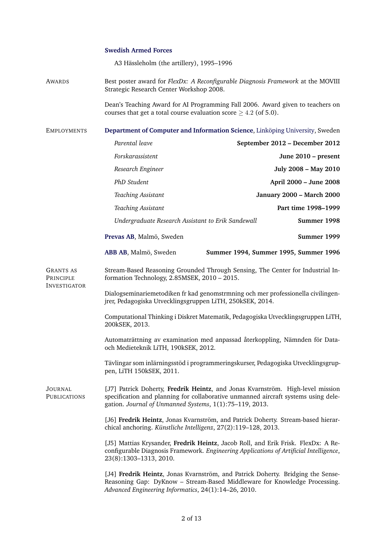## **[Swedish Armed Forces](#page-0-0)**

A3 Hässleholm (the artillery), 1995–1996

AWARDS Best poster award for *FlexDx: A Reconfigurable Diagnosis Framework* at the MOVIII Strategic Research Center Workshop 2008.

> Dean's Teaching Award for AI Programming Fall 2006. Award given to teachers on courses that get a total course evaluation score  $>$  4.2 (of 5.0).

**EMPLOYMENTS [Department of Computer and Information Science](http://www.ida.liu.se/)**, Linköping University, Sweden *Parental leave* **September 2012 – December 2012** *Forskarassistent* **June 2010 – present** *Research Engineer* **July 2008 – May 2010** *PhD Student* **April 2000 – June 2008** *Teaching Assistant* **January 2000 – March 2000** *Teaching Assistant* **Part time 1998–1999** *Undergraduate Research Assistant to Erik Sandewall* **Summer 1998 [Prevas AB](http://www.prevas.se/)**, Malmo, Sweden ¨ **Summer 1999 [ABB AB](http://www.abb.com/)**, Malmo, Sweden ¨ **Summer 1994, Summer 1995, Summer 1996** GRANTS AS Stream-Based Reasoning Grounded Through Sensing, The Center for Industrial In-PRINCIPLE INVESTIGATOR formation Technology, 2.85MSEK, 2010 – 2015. Dialogseminariemetodiken fr kad genomstrmning och mer professionella civilingenjrer, Pedagogiska Utvecklingsgruppen LiTH, 250kSEK, 2014. Computational Thinking i Diskret Matematik, Pedagogiska Utvecklingsgruppen LiTH, 200kSEK, 2013. Automaträttning av examination med anpassad återkoppling, Nämnden för Dataoch Medieteknik LiTH, 190kSEK, 2012. Tävlingar som inlärningsstöd i programmeringskurser, Pedagogiska Utvecklingsgruppen, LiTH 150kSEK, 2011. JOURNAL [J7] Patrick Doherty, **Fredrik Heintz**, and Jonas Kvarnström. High-level mission PUBLICATIONS specification and planning for collaborative unmanned aircraft systems using delegation. *Journal of Unmanned Systems*, 1(1):75–119, 2013. [J6] Fredrik Heintz, Jonas Kvarnström, and Patrick Doherty. Stream-based hierarchical anchoring. *Künstliche Intelligenz*, 27(2):119-128, 2013. [J5] Mattias Krysander, **Fredrik Heintz**, Jacob Roll, and Erik Frisk. FlexDx: A Reconfigurable Diagnosis Framework. *Engineering Applications of Artificial Intelligence*, 23(8):1303–1313, 2010. [J4] Fredrik Heintz, Jonas Kvarnström, and Patrick Doherty. Bridging the Sense-Reasoning Gap: DyKnow – Stream-Based Middleware for Knowledge Processing. *Advanced Engineering Informatics*, 24(1):14–26, 2010.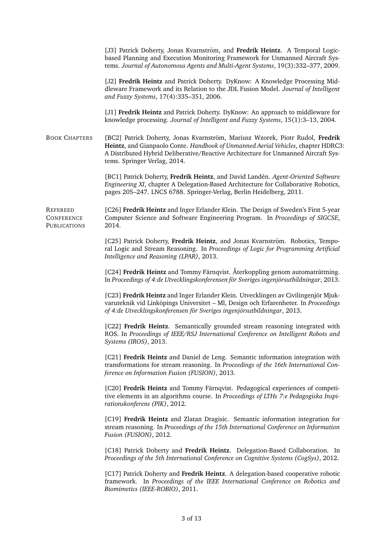[J3] Patrick Doherty, Jonas Kvarnström, and Fredrik Heintz. A Temporal Logicbased Planning and Execution Monitoring Framework for Unmanned Aircraft Systems. *Journal of Autonomous Agents and Multi-Agent Systems*, 19(3):332–377, 2009. [J2] **Fredrik Heintz** and Patrick Doherty. DyKnow: A Knowledge Processing Middleware Framework and its Relation to the JDL Fusion Model. *Journal of Intelligent and Fuzzy Systems*, 17(4):335–351, 2006. [J1] **Fredrik Heintz** and Patrick Doherty. DyKnow: An approach to middleware for knowledge processing. *Journal of Intelligent and Fuzzy Systems*, 15(1):3–13, 2004. BOOK CHAPTERS [BC2] Patrick Doherty, Jonas Kvarnström, Mariusz Wzorek, Piotr Rudol, Fredrik **Heintz**, and Gianpaolo Conte. *Handbook of Unmanned Aerial Vehicles*, chapter HDRC3: A Distributed Hybrid Deliberative/Reactive Architecture for Unmanned Aircraft Systems. Springer Verlag, 2014. [BC1] Patrick Doherty, **Fredrik Heintz**, and David Land´en. *Agent-Oriented Software Engineering XI*, chapter A Delegation-Based Architecture for Collaborative Robotics, pages 205–247. LNCS 6788. Springer-Verlag, Berlin Heidelberg, 2011. REFEREED [C26] **Fredrik Heintz** and Inger Erlander Klein. The Design of Sweden's First 5-year **CONFERENCE PUBLICATIONS** Computer Science and Software Engineering Program. In *Proceedings of SIGCSE*, 2014. [C25] Patrick Doherty, Fredrik Heintz, and Jonas Kvarnström. Robotics, Temporal Logic and Stream Reasoning. In *Proceedings of Logic for Programming Artificial Intelligence and Reasoning (LPAR)*, 2013. [C24] **Fredrik Heintz** and Tommy Färnqvist. Återkoppling genom automaträttning. In *Proceedings of 4:de Utvecklingskonferensen för Sveriges ingenjörsutbildningar*, 2013. [C23] **Fredrik Heintz** and Inger Erlander Klein. Utvecklingen av Civilingenjör Mjukvaruteknik vid Linköpings Universitet – Ml, Design och Erfarenheter. In Proceedings *of 4:de Utvecklingskonferensen for Sveriges ingenj ¨ orsutbildningar ¨* , 2013. [C22] **Fredrik Heintz**. Semantically grounded stream reasoning integrated with ROS. In *Proceedings of IEEE/RSJ International Conference on Intelligent Robots and Systems (IROS)*, 2013. [C21] **Fredrik Heintz** and Daniel de Leng. Semantic information integration with transformations for stream reasoning. In *Proceedings of the 16th International Conference on Information Fusion (FUSION)*, 2013. [C20] Fredrik Heintz and Tommy Färnqvist. Pedagogical experiences of competitive elements in an algorithms course. In *Proceedings of LTHs 7:e Pedagogiska Inspirationskonferens (PIK)*, 2012. [C19] **Fredrik Heintz** and Zlatan Dragisic. Semantic information integration for stream reasoning. In *Proceedings of the 15th International Conference on Information Fusion (FUSION)*, 2012. [C18] Patrick Doherty and **Fredrik Heintz**. Delegation-Based Collaboration. In *Proceedings of the 5th International Conference on Cognitive Systems (CogSys)*, 2012. [C17] Patrick Doherty and **Fredrik Heintz**. A delegation-based cooperative robotic framework. In *Proceedings of the IEEE International Conference on Robotics and Biomimetics (IEEE-ROBIO)*, 2011.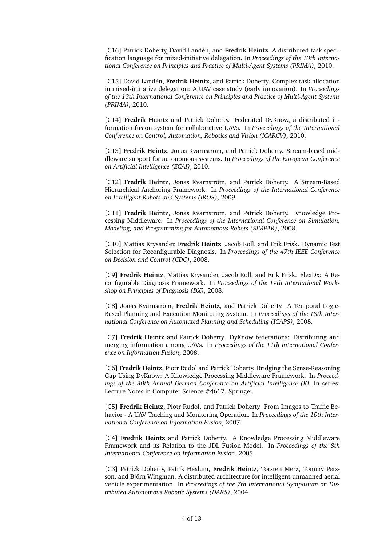[C16] Patrick Doherty, David Landén, and Fredrik Heintz. A distributed task specification language for mixed-initiative delegation. In *Proceedings of the 13th International Conference on Principles and Practice of Multi-Agent Systems (PRIMA)*, 2010.

[C15] David Landén, Fredrik Heintz, and Patrick Doherty. Complex task allocation in mixed-initiative delegation: A UAV case study (early innovation). In *Proceedings of the 13th International Conference on Principles and Practice of Multi-Agent Systems (PRIMA)*, 2010.

[C14] **Fredrik Heintz** and Patrick Doherty. Federated DyKnow, a distributed information fusion system for collaborative UAVs. In *Proceedings of the International Conference on Control, Automation, Robotics and Vision (ICARCV)*, 2010.

[C13] **Fredrik Heintz**, Jonas Kvarnström, and Patrick Doherty. Stream-based middleware support for autonomous systems. In *Proceedings of the European Conference on Artificial Intelligence (ECAI)*, 2010.

[C12] **Fredrik Heintz**, Jonas Kvarnström, and Patrick Doherty. A Stream-Based Hierarchical Anchoring Framework. In *Proceedings of the International Conference on Intelligent Robots and Systems (IROS)*, 2009.

[C11] Fredrik Heintz, Jonas Kvarnström, and Patrick Doherty. Knowledge Processing Middleware. In *Proceedings of the International Conference on Simulation, Modeling, and Programming for Autonomous Robots (SIMPAR)*, 2008.

[C10] Mattias Krysander, **Fredrik Heintz**, Jacob Roll, and Erik Frisk. Dynamic Test Selection for Reconfigurable Diagnosis. In *Proceedings of the 47th IEEE Conference on Decision and Control (CDC)*, 2008.

[C9] **Fredrik Heintz**, Mattias Krysander, Jacob Roll, and Erik Frisk. FlexDx: A Reconfigurable Diagnosis Framework. In *Proceedings of the 19th International Workshop on Principles of Diagnosis (DX)*, 2008.

[C8] Jonas Kvarnström, Fredrik Heintz, and Patrick Doherty. A Temporal Logic-Based Planning and Execution Monitoring System. In *Proceedings of the 18th International Conference on Automated Planning and Scheduling (ICAPS)*, 2008.

[C7] **Fredrik Heintz** and Patrick Doherty. DyKnow federations: Distributing and merging information among UAVs. In *Proceedings of the 11th International Conference on Information Fusion*, 2008.

[C6] **Fredrik Heintz**, Piotr Rudol and Patrick Doherty. Bridging the Sense-Reasoning Gap Using DyKnow: A Knowledge Processing Middleware Framework. In *Proceedings of the 30th Annual German Conference on Artificial Intelligence (KI*. In series: Lecture Notes in Computer Science #4667. Springer.

[C5] **Fredrik Heintz**, Piotr Rudol, and Patrick Doherty. From Images to Traffic Behavior - A UAV Tracking and Monitoring Operation. In *Proceedings of the 10th International Conference on Information Fusion*, 2007.

[C4] **Fredrik Heintz** and Patrick Doherty. A Knowledge Processing Middleware Framework and its Relation to the JDL Fusion Model. In *Proceedings of the 8th International Conference on Information Fusion*, 2005.

[C3] Patrick Doherty, Patrik Haslum, **Fredrik Heintz**, Torsten Merz, Tommy Persson, and Björn Wingman. A distributed architecture for intelligent unmanned aerial vehicle experimentation. In *Proceedings of the 7th International Symposium on Distributed Autonomous Robotic Systems (DARS)*, 2004.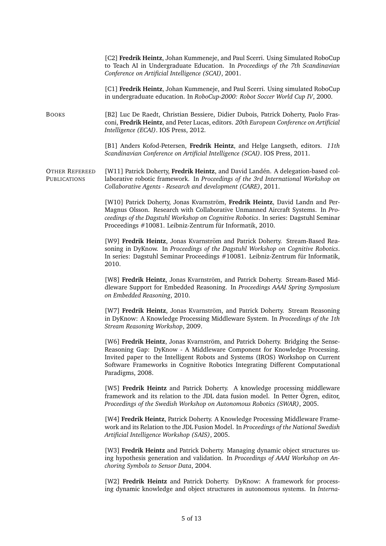[C2] **Fredrik Heintz**, Johan Kummeneje, and Paul Scerri. Using Simulated RoboCup to Teach AI in Undergraduate Education. In *Proceedings of the 7th Scandinavian Conference on Artificial Intelligence (SCAI)*, 2001. [C1] **Fredrik Heintz**, Johan Kummeneje, and Paul Scerri. Using simulated RoboCup in undergraduate education. In *RoboCup-2000: Robot Soccer World Cup IV*, 2000. BOOKS [B2] Luc De Raedt, Christian Bessiere, Didier Dubois, Patrick Doherty, Paolo Frasconi, **Fredrik Heintz**, and Peter Lucas, editors. *20th European Conference on Artificial Intelligence (ECAI)*. IOS Press, 2012. [B1] Anders Kofod-Petersen, **Fredrik Heintz**, and Helge Langseth, editors. *11th Scandinavian Conference on Artificial Intelligence (SCAI)*. IOS Press, 2011. OTHER REFEREED [W11] Patrick Doherty, **Fredrik Heintz**, and David Land´en. A delegation-based col-PUBLICATIONS laborative robotic framework. In *Proceedings of the 3rd International Workshop on Collaborative Agents - Research and development (CARE)*, 2011. [W10] Patrick Doherty, Jonas Kvarnström, Fredrik Heintz, David Landn and Per-Magnus Olsson. Research with Collaborative Unmanned Aircraft Systems. In *Proceedings of the Dagstuhl Workshop on Cognitive Robotics*. In series: Dagstuhl Seminar Proceedings #10081. Leibniz-Zentrum für Informatik, 2010. [W9] **Fredrik Heintz**, Jonas Kvarnström and Patrick Doherty. Stream-Based Reasoning in DyKnow. In *Proceedings of the Dagstuhl Workshop on Cognitive Robotics*. In series: Dagstuhl Seminar Proceedings #10081. Leibniz-Zentrum fur Informatik, ¨ 2010. [W8] Fredrik Heintz, Jonas Kvarnström, and Patrick Doherty. Stream-Based Middleware Support for Embedded Reasoning. In *Proceedings AAAI Spring Symposium on Embedded Reasoning*, 2010. [W7] **Fredrik Heintz**, Jonas Kvarnström, and Patrick Doherty. Stream Reasoning in DyKnow: A Knowledge Processing Middleware System. In *Proceedings of the 1th Stream Reasoning Workshop*, 2009. [W6] Fredrik Heintz, Jonas Kvarnström, and Patrick Doherty. Bridging the Sense-Reasoning Gap: DyKnow - A Middleware Component for Knowledge Processing. Invited paper to the Intelligent Robots and Systems (IROS) Workshop on Current Software Frameworks in Cognitive Robotics Integrating Different Computational Paradigms, 2008. [W5] **Fredrik Heintz** and Patrick Doherty. A knowledge processing middleware framework and its relation to the JDL data fusion model. In Petter Ögren, editor, *Proceedings of the Swedish Workshop on Autonomous Robotics (SWAR)*, 2005. [W4] **Fredrik Heintz**, Patrick Doherty. A Knowledge Processing Middleware Framework and its Relation to the JDL Fusion Model. In *Proceedings of the National Swedish Artificial Intelligence Workshop (SAIS)*, 2005. [W3] **Fredrik Heintz** and Patrick Doherty. Managing dynamic object structures using hypothesis generation and validation. In *Proceedings of AAAI Workshop on Anchoring Symbols to Sensor Data*, 2004. [W2] **Fredrik Heintz** and Patrick Doherty. DyKnow: A framework for processing dynamic knowledge and object structures in autonomous systems. In *Interna-*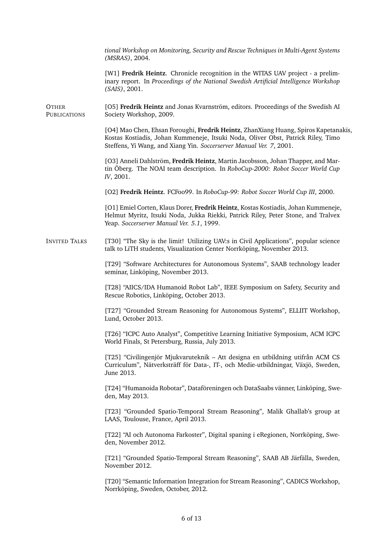*tional Workshop on Monitoring, Security and Rescue Techniques in Multi-Agent Systems (MSRAS)*, 2004.

[W1] **Fredrik Heintz**. Chronicle recognition in the WITAS UAV project - a preliminary report. In *Proceedings of the National Swedish Artificial Intelligence Workshop (SAIS)*, 2001.

OTHER [O5] **Fredrik Heintz** and Jonas Kvarnström, editors. Proceedings of the Swedish AI PUBLICATIONS Society Workshop, 2009.

> [O4] Mao Chen, Ehsan Foroughi, **Fredrik Heintz**, ZhanXiang Huang, Spiros Kapetanakis, Kostas Kostiadis, Johan Kummeneje, Itsuki Noda, Oliver Obst, Patrick Riley, Timo Steffens, Yi Wang, and Xiang Yin. *Soccerserver Manual Ver. 7*, 2001.

[O3] Anneli Dahlström, Fredrik Heintz, Martin Jacobsson, Johan Thapper, and Martin Öberg. The NOAI team description. In *RoboCup-2000: Robot Soccer World Cup IV*, 2001.

[O2] **Fredrik Heintz**. FCFoo99. In *RoboCup-99: Robot Soccer World Cup III*, 2000.

[O1] Emiel Corten, Klaus Dorer, **Fredrik Heintz**, Kostas Kostiadis, Johan Kummeneje, Helmut Myritz, Itsuki Noda, Jukka Riekki, Patrick Riley, Peter Stone, and Tralvex Yeap. *Soccerserver Manual Ver. 5.1*, 1999.

INVITED TALKS [T30] "The Sky is the limit! Utilizing UAV:s in Civil Applications", popular science talk to LiTH students, Visualization Center Norrköping, November 2013.

> [T29] "Software Architectures for Autonomous Systems", SAAB technology leader seminar, Linköping, November 2013.

> [T28] "AIICS/IDA Humanoid Robot Lab", IEEE Symposium on Safety, Security and Rescue Robotics, Linköping, October 2013.

> [T27] "Grounded Stream Reasoning for Autonomous Systems", ELLIIT Workshop, Lund, October 2013.

> [T26] "ICPC Auto Analyst", Competitive Learning Initiative Symposium, ACM ICPC World Finals, St Petersburg, Russia, July 2013.

> [T25] "Civilingenjör Mjukvaruteknik – Att designa en utbildning utifrån ACM CS Curriculum", Nätverksträff för Data-, IT-, och Medie-utbildningar, Växjö, Sweden, June 2013.

> [T24] "Humanoida Robotar", Dataföreningen och DataSaabs vänner, Linköping, Sweden, May 2013.

> [T23] "Grounded Spatio-Temporal Stream Reasoning", Malik Ghallab's group at LAAS, Toulouse, France, April 2013.

> [T22] "AI och Autonoma Farkoster", Digital spaning i eRegionen, Norrköping, Sweden, November 2012.

> [T21] "Grounded Spatio-Temporal Stream Reasoning", SAAB AB Järfälla, Sweden, November 2012.

> [T20] "Semantic Information Integration for Stream Reasoning", CADICS Workshop, Norrköping, Sweden, October, 2012.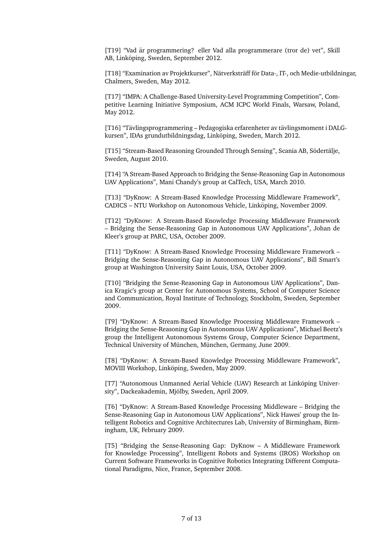[T19] "Vad är programmering? eller Vad alla programmerare (tror de) vet", Skill AB, Linköping, Sweden, September 2012.

[T18] "Examination av Projektkurser", Nätverksträff för Data-, IT-, och Medie-utbildningar, Chalmers, Sweden, May 2012.

[T17] "IMPA: A Challenge-Based University-Level Programming Competition", Competitive Learning Initiative Symposium, ACM ICPC World Finals, Warsaw, Poland, May 2012.

[T16] "Tävlingsprogrammering – Pedagogiska erfarenheter av tävlingsmoment i DALGkursen", IDAs grundutbildningsdag, Linköping, Sweden, March 2012.

[T15] "Stream-Based Reasoning Grounded Through Sensing", Scania AB, Södertälje, Sweden, August 2010.

[T14] "A Stream-Based Approach to Bridging the Sense-Reasoning Gap in Autonomous UAV Applications", Mani Chandy's group at CalTech, USA, March 2010.

[T13] "DyKnow: A Stream-Based Knowledge Processing Middleware Framework", CADICS – NTU Workshop on Autonomous Vehicle, Linkoping, November 2009. ¨

[T12] "DyKnow: A Stream-Based Knowledge Processing Middleware Framework – Bridging the Sense-Reasoning Gap in Autonomous UAV Applications", Johan de Kleer's group at PARC, USA, October 2009.

[T11] "DyKnow: A Stream-Based Knowledge Processing Middleware Framework – Bridging the Sense-Reasoning Gap in Autonomous UAV Applications", Bill Smart's group at Washington University Saint Louis, USA, October 2009.

[T10] "Bridging the Sense-Reasoning Gap in Autonomous UAV Applications", Danica Kragic's group at Center for Autonomous Systems, School of Computer Science and Communication, Royal Institute of Technology, Stockholm, Sweden, September 2009.

[T9] "DyKnow: A Stream-Based Knowledge Processing Middleware Framework – Bridging the Sense-Reasoning Gap in Autonomous UAV Applications", Michael Beetz's group the Intelligent Autonomous Systems Group, Computer Science Department, Technical University of München, München, Germany, June 2009.

[T8] "DyKnow: A Stream-Based Knowledge Processing Middleware Framework", MOVIII Workshop, Linköping, Sweden, May 2009.

[T7] "Autonomous Unmanned Aerial Vehicle (UAV) Research at Linkoping Univer- ¨ sity", Dackeakademin, Mjölby, Sweden, April 2009.

[T6] "DyKnow: A Stream-Based Knowledge Processing Middleware – Bridging the Sense-Reasoning Gap in Autonomous UAV Applications", Nick Hawes' group the Intelligent Robotics and Cognitive Architectures Lab, University of Birmingham, Birmingham, UK, February 2009.

[T5] "Bridging the Sense-Reasoning Gap: DyKnow – A Middleware Framework for Knowledge Processing", Intelligent Robots and Systems (IROS) Workshop on Current Software Frameworks in Cognitive Robotics Integrating Different Computational Paradigms, Nice, France, September 2008.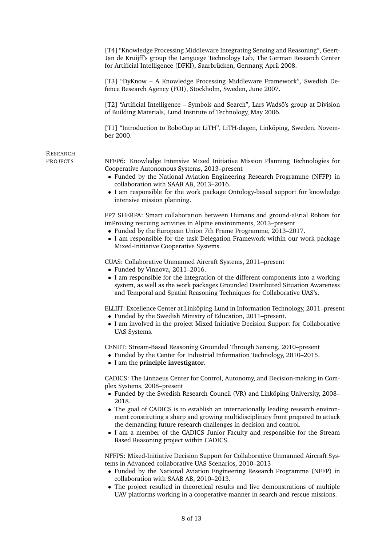|          | [T4] "Knowledge Processing Middleware Integrating Sensing and Reasoning", Geert-<br>Jan de Kruijff's group the Language Technology Lab, The German Research Center<br>for Artificial Intelligence (DFKI), Saarbrücken, Germany, April 2008.                                                                                                  |
|----------|----------------------------------------------------------------------------------------------------------------------------------------------------------------------------------------------------------------------------------------------------------------------------------------------------------------------------------------------|
|          | [T3] "DyKnow - A Knowledge Processing Middleware Framework", Swedish De-<br>fence Research Agency (FOI), Stockholm, Sweden, June 2007.                                                                                                                                                                                                       |
|          | [T2] "Artificial Intelligence - Symbols and Search", Lars Wadsö's group at Division<br>of Building Materials, Lund Institute of Technology, May 2006.                                                                                                                                                                                        |
|          | [T1] "Introduction to RoboCup at LiTH", LiTH-dagen, Linköping, Sweden, Novem-<br>ber 2000.                                                                                                                                                                                                                                                   |
| RESEARCH |                                                                                                                                                                                                                                                                                                                                              |
| PROJECTS | NFFP6: Knowledge Intensive Mixed Initiative Mission Planning Technologies for<br>Cooperative Autonomous Systems, 2013-present<br>• Funded by the National Aviation Engineering Research Programme (NFFP) in<br>collaboration with SAAB AB, 2013-2016.                                                                                        |
|          | • I am responsible for the work package Ontology-based support for knowledge<br>intensive mission planning.                                                                                                                                                                                                                                  |
|          | FP7 SHERPA: Smart collaboration between Humans and ground-aErial Robots for<br>imProving rescuing activities in Alpine environments, 2013-present<br>• Funded by the European Union 7th Frame Programme, 2013-2017.<br>• I am responsible for the task Delegation Framework within our work package<br>Mixed-Initiative Cooperative Systems. |
|          | CUAS: Collaborative Unmanned Aircraft Systems, 2011–present<br>• Funded by Vinnova, 2011-2016.                                                                                                                                                                                                                                               |
|          | • I am responsible for the integration of the different components into a working<br>system, as well as the work packages Grounded Distributed Situation Awareness<br>and Temporal and Spatial Reasoning Techniques for Collaborative UAS's.                                                                                                 |
|          | ELLIIT: Excellence Center at Linköping-Lund in Information Technology, 2011–present<br>• Funded by the Swedish Ministry of Education, 2011-present.<br>• I am involved in the project Mixed Initiative Decision Support for Collaborative<br>UAS Systems.                                                                                    |
|          | CENIIT: Stream-Based Reasoning Grounded Through Sensing, 2010–present<br>• Funded by the Center for Industrial Information Technology, 2010-2015.<br>• I am the principle investigator.                                                                                                                                                      |
|          | CADICS: The Linnaeus Center for Control, Autonomy, and Decision-making in Com-                                                                                                                                                                                                                                                               |
|          | plex Systems, 2008-present<br>• Funded by the Swedish Research Council (VR) and Linköping University, 2008–<br>2018.                                                                                                                                                                                                                         |
|          | • The goal of CADICS is to establish an internationally leading research environ-<br>ment constituting a sharp and growing multidisciplinary front prepared to attack<br>the demanding future research challenges in decision and control.<br>• I am a member of the CADICS Junior Faculty and responsible for the Stream                    |
|          | Based Reasoning project within CADICS.                                                                                                                                                                                                                                                                                                       |
|          | NFFP5: Mixed-Initiative Decision Support for Collaborative Unmanned Aircraft Sys-<br>tems in Advanced collaborative UAS Scenarios, 2010-2013<br>• Funded by the National Aviation Engineering Research Programme (NFFP) in<br>collaboration with SAAB AB, 2010-2013.                                                                         |
|          | • The project resulted in theoretical results and live demonstrations of multiple<br>UAV platforms working in a cooperative manner in search and rescue missions.                                                                                                                                                                            |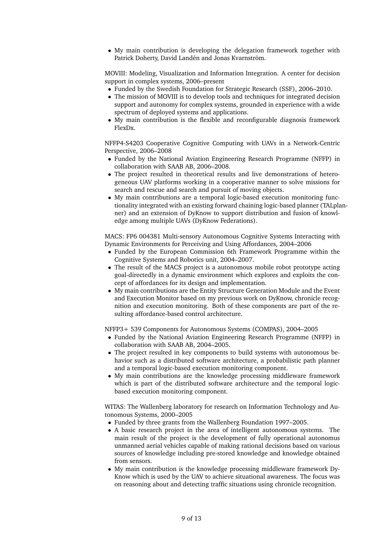• My main contribution is developing the delegation framework together with Patrick Doherty, David Landén and Jonas Kvarnström.

MOVIII: Modeling, Visualization and Information Integration. A center for decision support in complex systems, 2006–present

- Funded by the Swedish Foundation for Strategic Research (SSF), 2006–2010.
- The mission of MOVIII is to develop tools and techniques for integrated decision support and autonomy for complex systems, grounded in experience with a wide spectrum of deployed systems and applications.
- My main contribution is the flexible and reconfigurable diagnosis framework FlexDx.

NFFP4-S4203 Cooperative Cognitive Computing with UAVs in a Network-Centric Perspective, 2006–2008

- Funded by the National Aviation Engineering Research Programme (NFFP) in collaboration with SAAB AB, 2006–2008.
- The project resulted in theoretical results and live demonstrations of heterogeneous UAV platforms working in a cooperative manner to solve missions for search and rescue and search and pursuit of moving objects.
- My main contributions are a temporal logic-based execution monitoring functionality integrated with an existing forward chaining logic-based planner (TALplanner) and an extension of DyKnow to support distribution and fusion of knowledge among multiple UAVs (DyKnow Federations).

MACS: FP6 004381 Multi-sensory Autonomous Cognitive Systems Interacting with Dynamic Environments for Perceiving and Using Affordances, 2004–2006

- Funded by the European Commission 6th Framework Programme within the Cognitive Systems and Robotics unit, 2004–2007.
- The result of the MACS project is a autonomous mobile robot prototype acting goal-directedly in a dynamic environment which explores and exploits the concept of affordances for its design and implementation.
- My main contributions are the Entity Structure Generation Module and the Event and Execution Monitor based on my previous work on DyKnow, chronicle recognition and execution monitoring. Both of these components are part of the resulting affordance-based control architecture.

NFFP3+ 539 Components for Autonomous Systems (COMPAS), 2004–2005

- Funded by the National Aviation Engineering Research Programme (NFFP) in collaboration with SAAB AB, 2004–2005.
- The project resulted in key components to build systems with autonomous behavior such as a distributed software architecture, a probabilistic path planner and a temporal logic-based execution monitoring component.
- My main contributions are the knowledge processing middleware framework which is part of the distributed software architecture and the temporal logicbased execution monitoring component.

WITAS: The Wallenberg laboratory for research on Information Technology and Autonomous Systems, 2000–2005

- Funded by three grants from the Wallenberg Foundation 1997–2005.
- A basic research project in the area of intelligent autonomous systems. The main result of the project is the development of fully operational autonomus unmanned aerial vehicles capable of making rational decisions based on various sources of knowledge including pre-stored knowledge and knowledge obtained from sensors.
- My main contribution is the knowledge processing middleware framework Dy-Know which is used by the UAV to achieve situational awareness. The focus was on reasoning about and detecting traffic situations using chronicle recognition.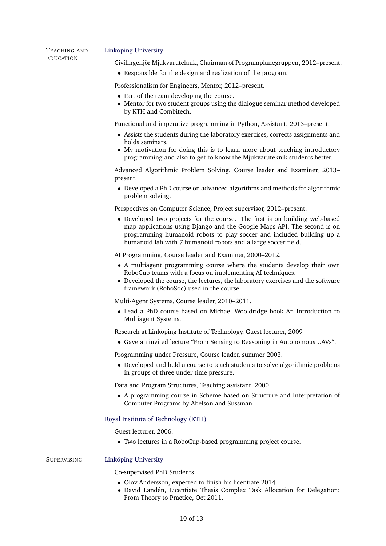## TEACHING AND Linköping University

EDUCATION Civilingenjör Mjukvaruteknik, Chairman of Programplanegruppen, 2012–present.

• Responsible for the design and realization of the program.

Professionalism for Engineers, Mentor, 2012–present.

- Part of the team developing the course.
- Mentor for two student groups using the dialogue seminar method developed by KTH and Combitech.

Functional and imperative programming in Python, Assistant, 2013–present.

- Assists the students during the laboratory exercises, corrects assignments and holds seminars.
- My motivation for doing this is to learn more about teaching introductory programming and also to get to know the Mjukvaruteknik students better.

Advanced Algorithmic Problem Solving, Course leader and Examiner, 2013– present.

• Developed a PhD course on advanced algorithms and methods for algorithmic problem solving.

Perspectives on Computer Science, Project supervisor, 2012–present.

• Developed two projects for the course. The first is on building web-based map applications using Django and the Google Maps API. The second is on programming humanoid robots to play soccer and included building up a humanoid lab with 7 humanoid robots and a large soccer field.

AI Programming, Course leader and Examiner, 2000–2012.

- A multiagent programming course where the students develop their own RoboCup teams with a focus on implementing AI techniques.
- Developed the course, the lectures, the laboratory exercises and the software framework (RoboSoc) used in the course.

Multi-Agent Systems, Course leader, 2010–2011.

• Lead a PhD course based on Michael Wooldridge book An Introduction to Multiagent Systems.

Research at Linköping Institute of Technology, Guest lecturer, 2009

• Gave an invited lecture "From Sensing to Reasoning in Autonomous UAVs".

Programming under Pressure, Course leader, summer 2003.

• Developed and held a course to teach students to solve algorithmic problems in groups of three under time pressure.

Data and Program Structures, Teaching assistant, 2000.

• A programming course in Scheme based on Structure and Interpretation of Computer Programs by Abelson and Sussman.

# [Royal Institute of Technology \(KTH\)](http://www.kth.se/)

Guest lecturer, 2006.

• Two lectures in a RoboCup-based programming project course.

#### SUPERVISING Linköping University

Co-supervised PhD Students

- Olov Andersson, expected to finish his licentiate 2014.
- David Landén, Licentiate Thesis Complex Task Allocation for Delegation: From Theory to Practice, Oct 2011.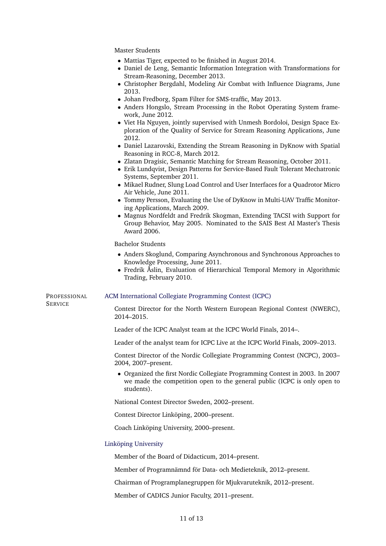Master Students

- Mattias Tiger, expected to be finished in August 2014.
- Daniel de Leng, Semantic Information Integration with Transformations for Stream-Reasoning, December 2013.
- Christopher Bergdahl, Modeling Air Combat with Influence Diagrams, June 2013.
- Johan Fredborg, Spam Filter for SMS-traffic, May 2013.
- Anders Hongslo, Stream Processing in the Robot Operating System framework, June 2012.
- Viet Ha Nguyen, jointly supervised with Unmesh Bordoloi, Design Space Exploration of the Quality of Service for Stream Reasoning Applications, June 2012.
- Daniel Lazarovski, Extending the Stream Reasoning in DyKnow with Spatial Reasoning in RCC-8, March 2012.
- Zlatan Dragisic, Semantic Matching for Stream Reasoning, October 2011.
- Erik Lundqvist, Design Patterns for Service-Based Fault Tolerant Mechatronic Systems, September 2011.
- Mikael Rudner, Slung Load Control and User Interfaces for a Quadrotor Micro Air Vehicle, June 2011.
- Tommy Persson, Evaluating the Use of DyKnow in Multi-UAV Traffic Monitoring Applications, March 2009.
- Magnus Nordfeldt and Fredrik Skogman, Extending TACSI with Support for Group Behavior, May 2005. Nominated to the SAIS Best AI Master's Thesis Award 2006.

Bachelor Students

- Anders Skoglund, Comparing Asynchronous and Synchronous Approaches to Knowledge Processing, June 2011.
- Fredrik Åslin, Evaluation of Hierarchical Temporal Memory in Algorithmic Trading, February 2010.

PROFESSIONAL [ACM International Collegiate Programming Contest \(ICPC\)](http://icpc.baylor.edu/)

**SERVICE** 

Contest Director for the North Western European Regional Contest (NWERC), 2014–2015.

Leader of the ICPC Analyst team at the ICPC World Finals, 2014–.

Leader of the analyst team for ICPC Live at the ICPC World Finals, 2009–2013.

Contest Director of the Nordic Collegiate Programming Contest (NCPC), 2003– 2004, 2007–present.

• Organized the first Nordic Collegiate Programming Contest in 2003. In 2007 we made the competition open to the general public (ICPC is only open to students).

National Contest Director Sweden, 2002–present.

Contest Director Linköping, 2000–present.

Coach Linköping University, 2000–present.

#### Linköping University

Member of the Board of Didacticum, 2014–present.

Member of Programnämnd för Data- och Medieteknik, 2012–present.

Chairman of Programplanegruppen för Mjukvaruteknik, 2012–present.

Member of CADICS Junior Faculty, 2011–present.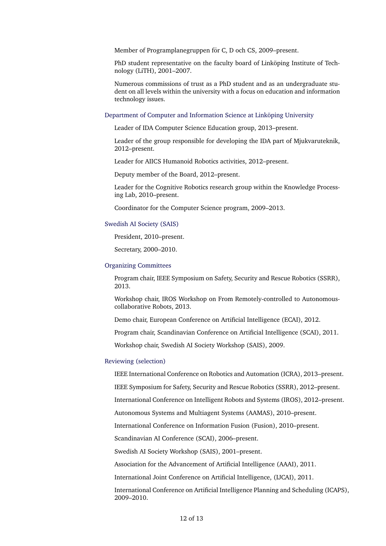Member of Programplanegruppen för C, D och CS, 2009–present.

PhD student representative on the faculty board of Linkoping Institute of Technology (LiTH), 2001–2007.

Numerous commissions of trust as a PhD student and as an undergraduate student on all levels within the university with a focus on education and information technology issues.

# Department of Computer and Information Science at Linköping University

Leader of IDA Computer Science Education group, 2013–present.

Leader of the group responsible for developing the IDA part of Mjukvaruteknik, 2012–present.

Leader for AIICS Humanoid Robotics activities, 2012–present.

Deputy member of the Board, 2012–present.

Leader for the Cognitive Robotics research group within the Knowledge Processing Lab, 2010–present.

Coordinator for the Computer Science program, 2009–2013.

#### [Swedish AI Society \(SAIS\)](http://www.sais.se/)

President, 2010–present.

Secretary, 2000–2010.

# [Organizing Committees](#page-0-0)

Program chair, IEEE Symposium on Safety, Security and Rescue Robotics (SSRR), 2013.

Workshop chair, IROS Workshop on From Remotely-controlled to Autonomouscollaborative Robots, 2013.

Demo chair, European Conference on Artificial Intelligence (ECAI), 2012.

Program chair, Scandinavian Conference on Artificial Intelligence (SCAI), 2011.

Workshop chair, Swedish AI Society Workshop (SAIS), 2009.

#### [Reviewing \(selection\)](#page-0-0)

IEEE International Conference on Robotics and Automation (ICRA), 2013–present.

IEEE Symposium for Safety, Security and Rescue Robotics (SSRR), 2012–present.

International Conference on Intelligent Robots and Systems (IROS), 2012–present.

Autonomous Systems and Multiagent Systems (AAMAS), 2010–present.

International Conference on Information Fusion (Fusion), 2010–present.

Scandinavian AI Conference (SCAI), 2006–present.

Swedish AI Society Workshop (SAIS), 2001–present.

Association for the Advancement of Artificial Intelligence (AAAI), 2011.

International Joint Conference on Artificial Intelligence, (IJCAI), 2011.

International Conference on Artificial Intelligence Planning and Scheduling (ICAPS), 2009–2010.